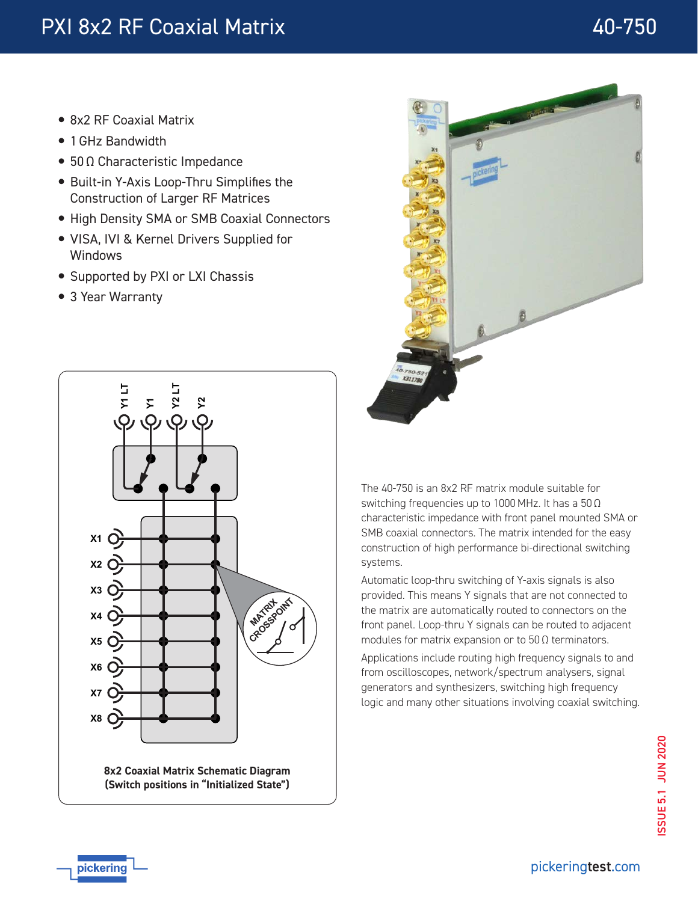- 8x2 RF Coaxial Matrix
- 1 GHz Bandwidth
- 50 Ω Characteristic Impedance
- Built-in Y-Axis Loop-Thru Simplifies the Construction of Larger RF Matrices
- High Density SMA or SMB Coaxial Connectors
- VISA, IVI & Kernel Drivers Supplied for Windows
- Supported by PXI or LXI Chassis
- 3 Year Warranty



**(Switch positions in "Initialized State")**



The 40-750 is an 8x2 RF matrix module suitable for switching frequencies up to 1000 MHz. It has a 50 Ω characteristic impedance with front panel mounted SMA or SMB coaxial connectors. The matrix intended for the easy construction of high performance bi-directional switching systems.

Automatic loop-thru switching of Y-axis signals is also provided. This means Y signals that are not connected to the matrix are automatically routed to connectors on the front panel. Loop-thru Y signals can be routed to adjacent modules for matrix expansion or to 50 Ω terminators.

Applications include routing high frequency signals to and from oscilloscopes, network/spectrum analysers, signal generators and synthesizers, switching high frequency logic and many other situations involving coaxial switching.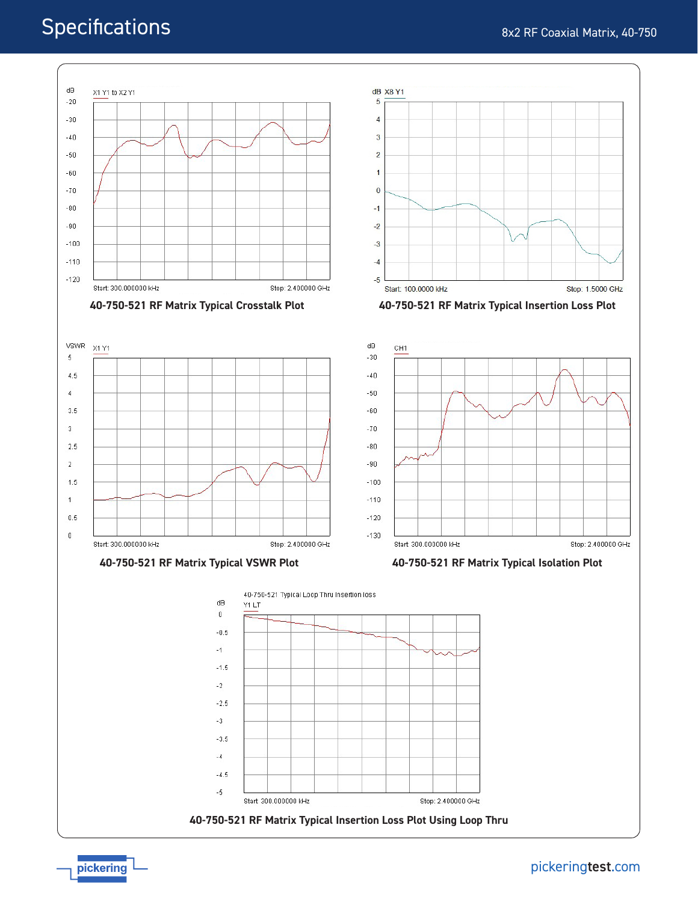# **Specifications**



[pickering](http://www.pickeringtest.com/)test.com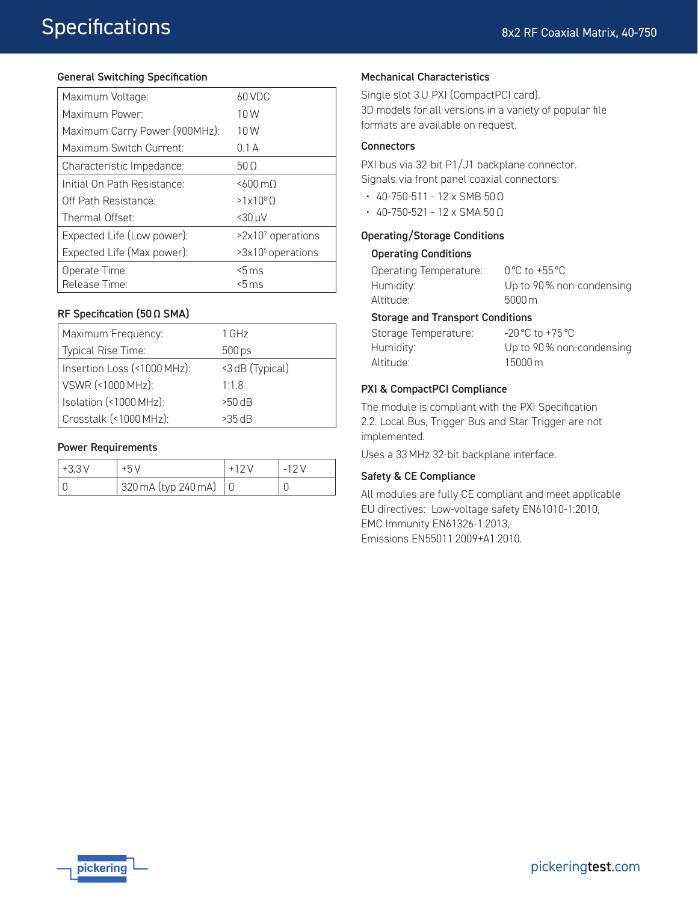#### General Switching Specification

| Maximum Voltage:              | 60 VDC                        |
|-------------------------------|-------------------------------|
| Maximum Power:                | 10W                           |
| Maximum Carry Power (900MHz): | 10W                           |
| Maximum Switch Current:       | 0.1A                          |
| Characteristic Impedance:     | 50 <sub>O</sub>               |
| Initial On Path Resistance:   | $5600 \text{ m}$              |
| Off Path Resistance:          | $>1\times10^{8}$ O            |
| Thermal Offset:               | $<$ 30 µ $V$                  |
| Expected Life (Low power):    | $>2x107$ operations           |
| Expected Life (Max power):    | >3x10 <sup>5</sup> operations |
| Operate Time:                 | $5 \,\mathrm{ms}$             |
| Release Time:                 | <5 ms                         |

#### RF Specification (50 Ω SMA)

| Maximum Frequency:          | 1 GHz           |
|-----------------------------|-----------------|
| Typical Rise Time:          | 500 ps          |
| Insertion Loss (<1000 MHz): | <3 dB (Typical) |
| VSWR (<1000 MHz):           | 1.1.8           |
| Isolation (<1000 MHz):      | $>50$ dB        |
| Crosstalk (<1000 MHz):      | $>35 \, dB$     |

#### Power Requirements

| $+3.3V$ |                     | ・ニエフ い |
|---------|---------------------|--------|
|         | 320 mA (typ 240 mA) |        |

#### Mechanical Characteristics

Single slot 3 U PXI (CompactPCI card). 3D models for all versions in a variety of popular file formats are available on request.

#### **Connectors**

PXI bus via 32-bit P1/J1 backplane connector. Signals via front panel coaxial connectors:

- 40-750-511 12 x SMB 50 Ω
- 40-750-521 12 x SMA 50 Ω

#### Operating/Storage Conditions

#### Operating Conditions

| Operating Temperature:                  | $0^{\circ}$ C to +55 $^{\circ}$ C                  |  |  |  |
|-----------------------------------------|----------------------------------------------------|--|--|--|
| Humidity:                               | Up to 90% non-condensing                           |  |  |  |
| Altitude:                               | $5000 \,\mathrm{m}$                                |  |  |  |
| <b>Storage and Transport Conditions</b> |                                                    |  |  |  |
| Storage Temperature:                    | $-20\,^{\circ}\text{C}$ to $+75\,^{\circ}\text{C}$ |  |  |  |

# Storage Temperature:

Humidity: Altitude: Up to 90 % non-condensing 15000 m

#### PXI & CompactPCI Compliance

The module is compliant with the PXI Specification 2.2. Local Bus, Trigger Bus and Star Trigger are not implemented.

Uses a 33 MHz 32-bit backplane interface.

#### Safety & CE Compliance

All modules are fully CE compliant and meet applicable EU directives: Low-voltage safety EN61010-1:2010, EMC Immunity EN61326-1:2013, Emissions EN55011:2009+A1:2010.

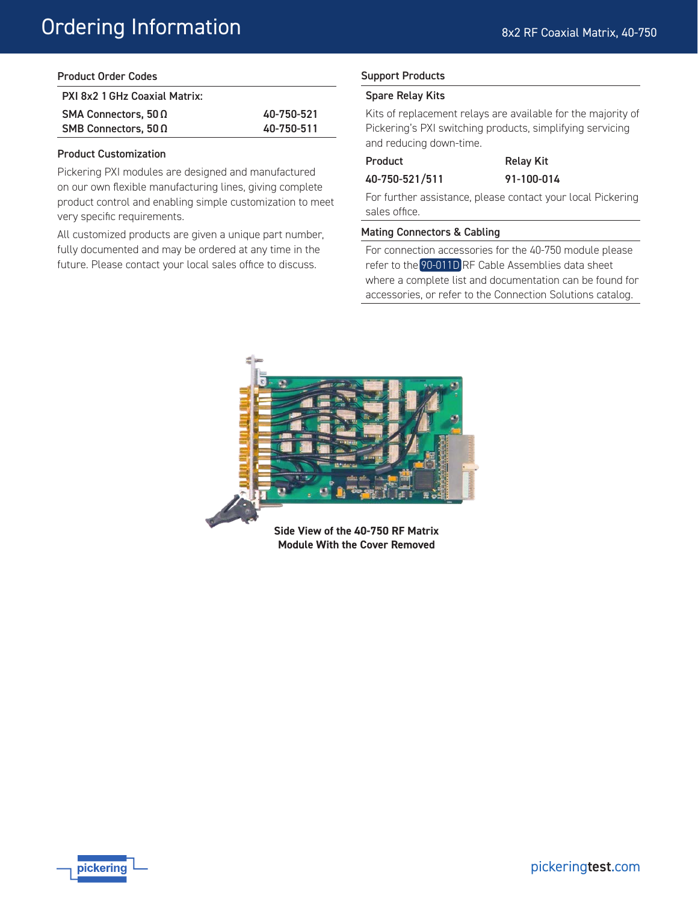| <b>Product Order Codes</b> |
|----------------------------|
|----------------------------|

| PXI 8x2 1 GHz Coaxial Matrix: |            |
|-------------------------------|------------|
| SMA Connectors, $50\Omega$    | 40-750-521 |
| SMB Connectors, $50\Omega$    | 40-750-511 |

#### Product Customization

Pickering PXI modules are designed and manufactured on our own flexible manufacturing lines, giving complete product control and enabling simple customization to meet very specific requirements.

All customized products are given a unique part number, fully documented and may be ordered at any time in the future. Please contact your local sales office to discuss.

## Support Products

### Spare Relay Kits

Kits of replacement relays are available for the majority of Pickering's PXI switching products, simplifying servicing and reducing down-time.

# Product Relay Kit

40-750-521/511 91-100-014

For further assistance, please contact your local Pickering sales office.

#### Mating Connectors & Cabling

For connection accessories for the 40-750 module please refer to the [90-011D](http://www.pickeringtest.com/) RF Cable Assemblies data sheet where a complete list and documentation can be found for accessories, or refer to the Connection Solutions catalog.



**Side View of the 40-750 RF Matrix Module With the Cover Removed**

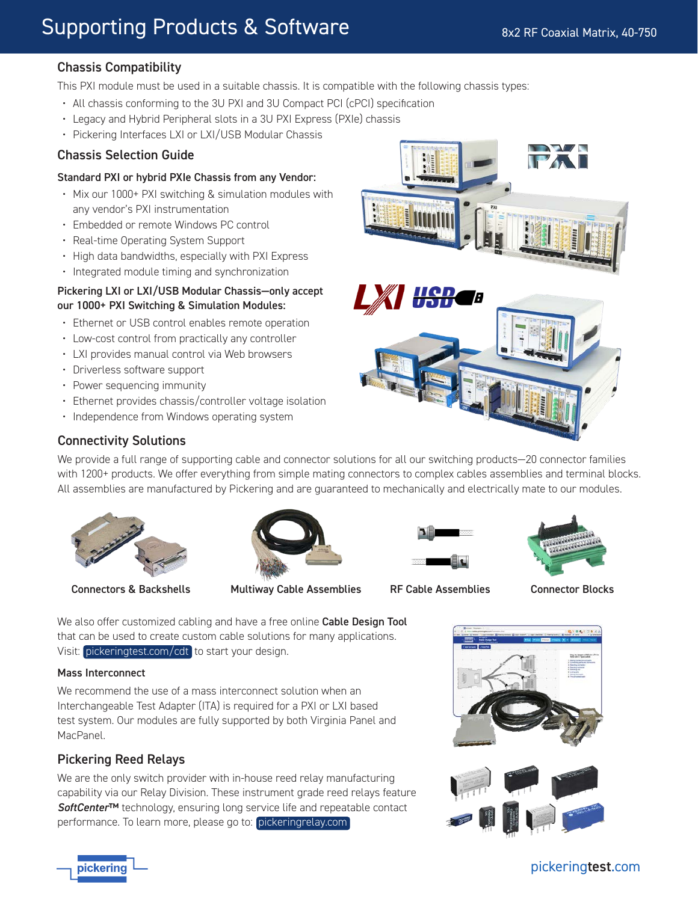# Chassis Compatibility

This PXI module must be used in a suitable chassis. It is compatible with the following chassis types:

- All chassis conforming to the 3U PXI and 3U Compact PCI (cPCI) specification
- Legacy and Hybrid Peripheral slots in a 3U PXI Express (PXIe) chassis
- Pickering Interfaces LXI or LXI/USB Modular Chassis

# Chassis Selection Guide

#### Standard PXI or hybrid PXIe Chassis from any Vendor:

- Mix our 1000+ PXI switching & simulation modules with any vendor's PXI instrumentation
- Embedded or remote Windows PC control
- Real-time Operating System Support
- High data bandwidths, especially with PXI Express
- Integrated module timing and synchronization

#### Pickering LXI or LXI/USB Modular Chassis—only accept our 1000+ PXI Switching & Simulation Modules:

- Ethernet or USB control enables remote operation
- Low-cost control from practically any controller
- LXI provides manual control via Web browsers
- Driverless software support
- Power sequencing immunity
- Ethernet provides chassis/controller voltage isolation
- Independence from Windows operating system



# Connectivity Solutions

We provide a full range of supporting cable and connector solutions for all our switching products—20 connector families with 1200+ products. We offer everything from simple mating connectors to complex cables assemblies and terminal blocks. All assemblies are manufactured by Pickering and are guaranteed to mechanically and electrically mate to our modules.



Connectors & Backshells Multiway Cable Assemblies RF Cable Assemblies Connector Blocks







We also offer customized cabling and have a free online Cable Design Tool that can be used to create custom cable solutions for many applications. Visit: [pickeringtest.com/cdt](http://www.pickeringtest.com/cdt) to start your design.

#### Mass Interconnect

We recommend the use of a mass interconnect solution when an Interchangeable Test Adapter (ITA) is required for a PXI or LXI based test system. Our modules are fully supported by both Virginia Panel and MacPanel.

# Pickering Reed Relays

We are the only switch provider with in-house reed relay manufacturing capability via our Relay Division. These instrument grade reed relays feature *SoftCenter*™ technology, ensuring long service life and repeatable contact performance. To learn more, please go to: [pickeringrelay.com](http://www.pickeringrelay.com)



[pickering](http://www.pickeringtest.com)test.com